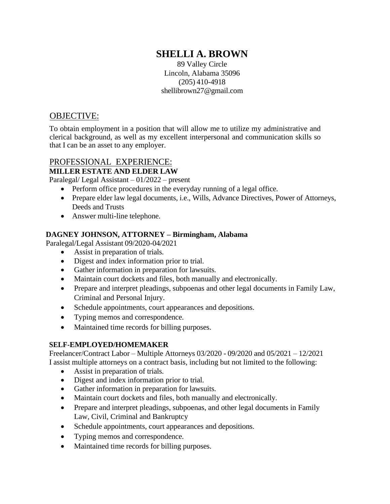# **SHELLI A. BROWN**

89 Valley Circle Lincoln, Alabama 35096 (205) 410-4918 [shellibrow](mailto:shellibrown27@gmail.com)[n27@gmail.com](mailto:n27@gmail.com)

# OBJECTIVE:

To obtain employment in a position that will allow me to utilize my administrative and clerical background, as well as my excellent interpersonal and communication skills so that I can be an asset to any employer.

# PROFESSIONAL EXPERIENCE: **MILLER ESTATE AND ELDER LAW**

Paralegal/ Legal Assistant – 01/2022 – present

- Perform office procedures in the everyday running of a legal office.
- Prepare elder law legal documents, i.e., Wills, Advance Directives, Power of Attorneys, Deeds and Trusts
- Answer multi-line telephone.

#### **DAGNEY JOHNSON, ATTORNEY – Birmingham, Alabama**

Paralegal/Legal Assistant 09/2020-04/2021

- Assist in preparation of trials.
- Digest and index information prior to trial.
- Gather information in preparation for lawsuits.
- Maintain court dockets and files, both manually and electronically.
- Prepare and interpret pleadings, subpoenas and other legal documents in Family Law, Criminal and Personal Injury.
- Schedule appointments, court appearances and depositions.
- Typing memos and correspondence.
- Maintained time records for billing purposes.

#### **SELF-EMPLOYED/HOMEMAKER**

Freelancer/Contract Labor – Multiple Attorneys 03/2020 - 09/2020 and 05/2021 – 12/2021 I assist multiple attorneys on a contract basis, including but not limited to the following:

- Assist in preparation of trials.
- Digest and index information prior to trial.
- Gather information in preparation for lawsuits.
- Maintain court dockets and files, both manually and electronically.
- Prepare and interpret pleadings, subpoenas, and other legal documents in Family Law, Civil, Criminal and Bankruptcy
- Schedule appointments, court appearances and depositions.
- Typing memos and correspondence.
- Maintained time records for billing purposes.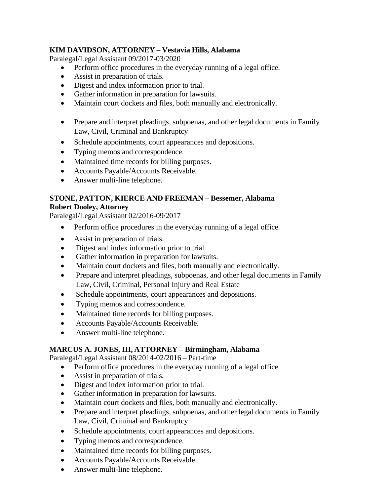# **KIM DAVIDSON, ATTORNEY – Vestavia Hills, Alabama**

Paralegal/Legal Assistant 09/2017-03/2020

- Perform office procedures in the everyday running of a legal office.
- Assist in preparation of trials.
- Digest and index information prior to trial.
- Gather information in preparation for lawsuits.
- Maintain court dockets and files, both manually and electronically.
- Prepare and interpret pleadings, subpoenas, and other legal documents in Family Law, Civil, Criminal and Bankruptcy
- Schedule appointments, court appearances and depositions.
- Typing memos and correspondence.
- Maintained time records for billing purposes.
- Accounts Payable/Accounts Receivable.
- Answer multi-line telephone.

#### **STONE, PATTON, KIERCE AND FREEMAN – Bessemer, Alabama Robert Dooley, Attorney**

Paralegal/Legal Assistant 02/2016-09/2017

- Perform office procedures in the everyday running of a legal office.
- Assist in preparation of trials.
- Digest and index information prior to trial.
- Gather information in preparation for lawsuits.
- Maintain court dockets and files, both manually and electronically.
- Prepare and interpret pleadings, subpoenas, and other legal documents in Family Law, Civil, Criminal, Personal Injury and Real Estate
- Schedule appointments, court appearances and depositions.
- Typing memos and correspondence.
- Maintained time records for billing purposes.
- Accounts Payable/Accounts Receivable.
- Answer multi-line telephone.

#### **MARCUS A. JONES, III, ATTORNEY – Birmingham, Alabama**

Paralegal/Legal Assistant 08/2014-02/2016 – Part-time

- Perform office procedures in the everyday running of a legal office.
- Assist in preparation of trials.
- Digest and index information prior to trial.
- Gather information in preparation for lawsuits.
- Maintain court dockets and files, both manually and electronically.
- Prepare and interpret pleadings, subpoenas, and other legal documents in Family Law, Civil, Criminal and Bankruptcy
- Schedule appointments, court appearances and depositions.
- Typing memos and correspondence.
- Maintained time records for billing purposes.
- Accounts Payable/Accounts Receivable.
- Answer multi-line telephone.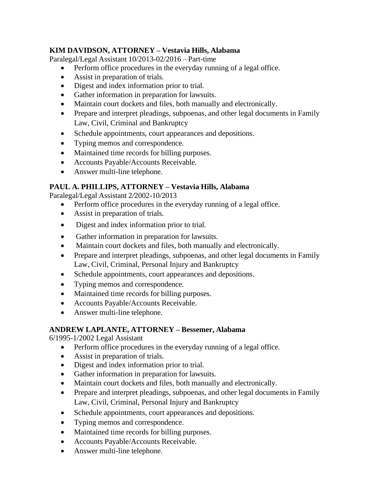# **KIM DAVIDSON, ATTORNEY – Vestavia Hills, Alabama**

Paralegal/Legal Assistant 10/2013-02/2016 – Part-time

- Perform office procedures in the everyday running of a legal office.
- Assist in preparation of trials.
- Digest and index information prior to trial.
- Gather information in preparation for lawsuits.
- Maintain court dockets and files, both manually and electronically.
- Prepare and interpret pleadings, subpoenas, and other legal documents in Family Law, Civil, Criminal and Bankruptcy
- Schedule appointments, court appearances and depositions.
- Typing memos and correspondence.
- Maintained time records for billing purposes.
- Accounts Payable/Accounts Receivable.
- Answer multi-line telephone.

# **PAUL A. PHILLIPS, ATTORNEY – Vestavia Hills, Alabama**

Paralegal/Legal Assistant 2*/*2002-10/2013

- Perform office procedures in the everyday running of a legal office.
- Assist in preparation of trials.
- Digest and index information prior to trial.
- Gather information in preparation for lawsuits.
- Maintain court dockets and files, both manually and electronically.
- Prepare and interpret pleadings, subpoenas, and other legal documents in Family Law, Civil, Criminal, Personal Injury and Bankruptcy
- Schedule appointments, court appearances and depositions.
- Typing memos and correspondence.
- Maintained time records for billing purposes.
- Accounts Payable/Accounts Receivable.
- Answer multi-line telephone.

#### **ANDREW LAPLANTE, ATTORNEY – Bessemer, Alabama**

6/1995-1/2002 Legal Assistant

- Perform office procedures in the everyday running of a legal office.
- Assist in preparation of trials.
- Digest and index information prior to trial.
- Gather information in preparation for lawsuits.
- Maintain court dockets and files, both manually and electronically.
- Prepare and interpret pleadings, subpoenas, and other legal documents in Family Law, Civil, Criminal, Personal Injury and Bankruptcy
- Schedule appointments, court appearances and depositions.
- Typing memos and correspondence.
- Maintained time records for billing purposes.
- Accounts Payable/Accounts Receivable.
- Answer multi-line telephone.